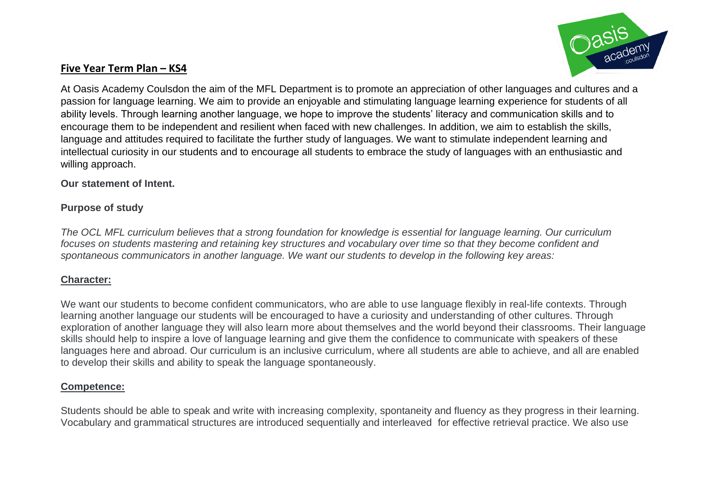

# **Five Year Term Plan – KS4**

At Oasis Academy Coulsdon the aim of the MFL Department is to promote an appreciation of other languages and cultures and a passion for language learning. We aim to provide an enjoyable and stimulating language learning experience for students of all ability levels. Through learning another language, we hope to improve the students' literacy and communication skills and to encourage them to be independent and resilient when faced with new challenges. In addition, we aim to establish the skills, language and attitudes required to facilitate the further study of languages. We want to stimulate independent learning and intellectual curiosity in our students and to encourage all students to embrace the study of languages with an enthusiastic and willing approach.

### **Our statement of Intent.**

### **Purpose of study**

*The OCL MFL curriculum believes that a strong foundation for knowledge is essential for language learning. Our curriculum focuses on students mastering and retaining key structures and vocabulary over time so that they become confident and spontaneous communicators in another language. We want our students to develop in the following key areas:*

## **Character:**

We want our students to become confident communicators, who are able to use language flexibly in real-life contexts. Through learning another language our students will be encouraged to have a curiosity and understanding of other cultures. Through exploration of another language they will also learn more about themselves and the world beyond their classrooms. Their language skills should help to inspire a love of language learning and give them the confidence to communicate with speakers of these languages here and abroad. Our curriculum is an inclusive curriculum, where all students are able to achieve, and all are enabled to develop their skills and ability to speak the language spontaneously.

## **Competence:**

Students should be able to speak and write with increasing complexity, spontaneity and fluency as they progress in their learning. Vocabulary and grammatical structures are introduced sequentially and interleaved for effective retrieval practice. We also use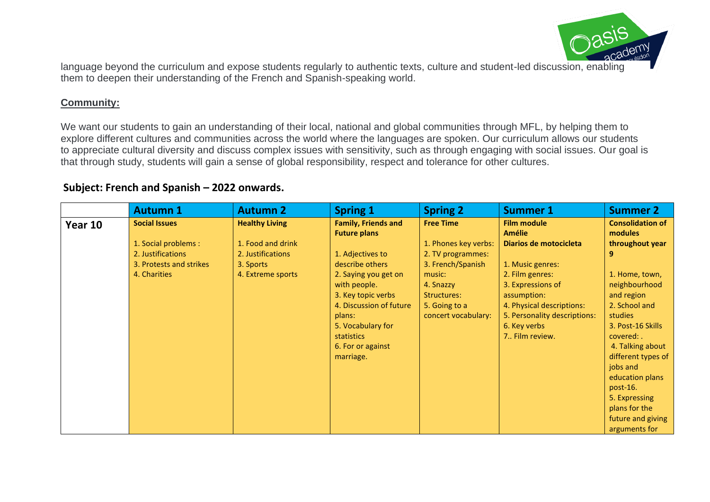

language beyond the curriculum and expose students regularly to authentic texts, culture and student-led discussion, enabling them to deepen their understanding of the French and Spanish-speaking world.

### **Community:**

We want our students to gain an understanding of their local, national and global communities through MFL, by helping them to explore different cultures and communities across the world where the languages are spoken. Our curriculum allows our students to appreciate cultural diversity and discuss complex issues with sensitivity, such as through engaging with social issues. Our goal is that through study, students will gain a sense of global responsibility, respect and tolerance for other cultures.

### **Subject: French and Spanish – 2022 onwards.**

|         | <b>Autumn 1</b>         | <b>Autumn 2</b>       | <b>Spring 1</b>            | <b>Spring 2</b>      | <b>Summer 1</b>              | <b>Summer 2</b>         |
|---------|-------------------------|-----------------------|----------------------------|----------------------|------------------------------|-------------------------|
| Year 10 | <b>Social Issues</b>    | <b>Healthy Living</b> | <b>Family, Friends and</b> | <b>Free Time</b>     | <b>Film module</b>           | <b>Consolidation of</b> |
|         |                         |                       | <b>Future plans</b>        |                      | <b>Amélie</b>                | modules                 |
|         | 1. Social problems :    | 1. Food and drink     |                            | 1. Phones key verbs: | Diarios de motocicleta       | throughout year         |
|         | 2. Justifications       | 2. Justifications     | 1. Adjectives to           | 2. TV programmes:    |                              | 9                       |
|         | 3. Protests and strikes | 3. Sports             | describe others            | 3. French/Spanish    | 1. Music genres:             |                         |
|         | 4. Charities            | 4. Extreme sports     | 2. Saying you get on       | music:               | 2. Film genres:              | 1. Home, town,          |
|         |                         |                       | with people.               | 4. Snazzy            | 3. Expressions of            | neighbourhood           |
|         |                         |                       | 3. Key topic verbs         | Structures:          | assumption:                  | and region              |
|         |                         |                       | 4. Discussion of future    | 5. Going to a        | 4. Physical descriptions:    | 2. School and           |
|         |                         |                       | plans:                     | concert vocabulary:  | 5. Personality descriptions: | studies                 |
|         |                         |                       | 5. Vocabulary for          |                      | 6. Key verbs                 | 3. Post-16 Skills       |
|         |                         |                       | statistics                 |                      | 7. Film review.              | covered: .              |
|         |                         |                       | 6. For or against          |                      |                              | 4. Talking about        |
|         |                         |                       | marriage.                  |                      |                              | different types of      |
|         |                         |                       |                            |                      |                              | jobs and                |
|         |                         |                       |                            |                      |                              | education plans         |
|         |                         |                       |                            |                      |                              | post-16.                |
|         |                         |                       |                            |                      |                              | 5. Expressing           |
|         |                         |                       |                            |                      |                              | plans for the           |
|         |                         |                       |                            |                      |                              | future and giving       |
|         |                         |                       |                            |                      |                              | arguments for           |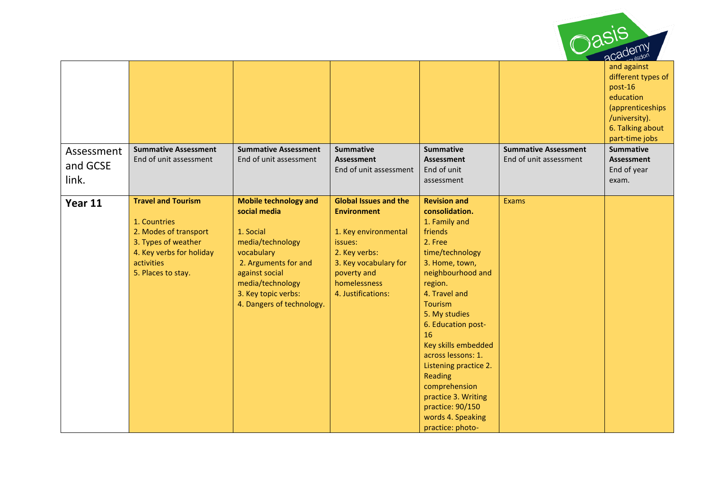

|                                 |                                                                                                                                                           |                                                                                                                                                                                                               |                                                                                                                                                                                      |                                                                                                                                                                                                                                                                                                                                                                                                                         |                                                       | and against<br>different types of<br>post-16<br>education<br>(apprenticeships<br>/university). |
|---------------------------------|-----------------------------------------------------------------------------------------------------------------------------------------------------------|---------------------------------------------------------------------------------------------------------------------------------------------------------------------------------------------------------------|--------------------------------------------------------------------------------------------------------------------------------------------------------------------------------------|-------------------------------------------------------------------------------------------------------------------------------------------------------------------------------------------------------------------------------------------------------------------------------------------------------------------------------------------------------------------------------------------------------------------------|-------------------------------------------------------|------------------------------------------------------------------------------------------------|
|                                 |                                                                                                                                                           |                                                                                                                                                                                                               |                                                                                                                                                                                      |                                                                                                                                                                                                                                                                                                                                                                                                                         |                                                       | 6. Talking about<br>part-time jobs                                                             |
| Assessment<br>and GCSE<br>link. | <b>Summative Assessment</b><br>End of unit assessment                                                                                                     | <b>Summative Assessment</b><br>End of unit assessment                                                                                                                                                         | <b>Summative</b><br>Assessment<br>End of unit assessment                                                                                                                             | <b>Summative</b><br><b>Assessment</b><br>End of unit<br>assessment                                                                                                                                                                                                                                                                                                                                                      | <b>Summative Assessment</b><br>End of unit assessment | <b>Summative</b><br><b>Assessment</b><br>End of year<br>exam.                                  |
| Year 11                         | <b>Travel and Tourism</b><br>1. Countries<br>2. Modes of transport<br>3. Types of weather<br>4. Key verbs for holiday<br>activities<br>5. Places to stay. | <b>Mobile technology and</b><br>social media<br>1. Social<br>media/technology<br>vocabulary<br>2. Arguments for and<br>against social<br>media/technology<br>3. Key topic verbs:<br>4. Dangers of technology. | <b>Global Issues and the</b><br><b>Environment</b><br>1. Key environmental<br>issues:<br>2. Key verbs:<br>3. Key vocabulary for<br>poverty and<br>homelessness<br>4. Justifications: | <b>Revision and</b><br>consolidation.<br>1. Family and<br>friends<br>2. Free<br>time/technology<br>3. Home, town,<br>neighbourhood and<br>region.<br>4. Travel and<br>Tourism<br>5. My studies<br>6. Education post-<br>16<br>Key skills embedded<br>across lessons: 1.<br>Listening practice 2.<br><b>Reading</b><br>comprehension<br>practice 3. Writing<br>practice: 90/150<br>words 4. Speaking<br>practice: photo- | Exams                                                 |                                                                                                |